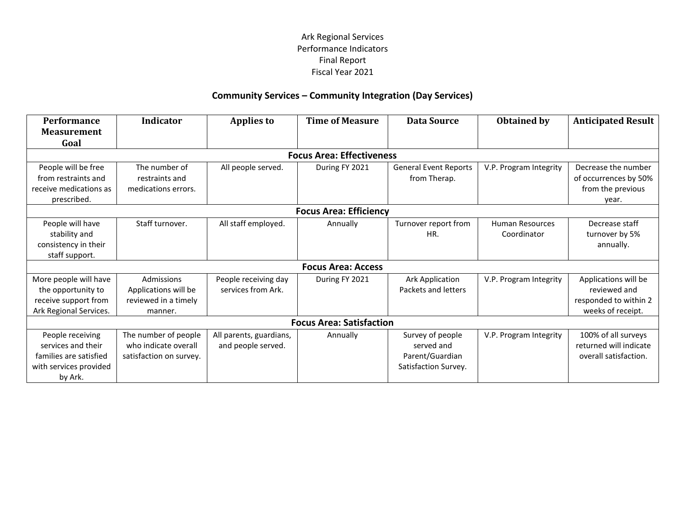### **Community Services – Community Integration (Day Services)**

| Performance                     | <b>Indicator</b>        | <b>Applies to</b>       | <b>Time of Measure</b>           | <b>Data Source</b>           | <b>Obtained by</b>     | <b>Anticipated Result</b> |
|---------------------------------|-------------------------|-------------------------|----------------------------------|------------------------------|------------------------|---------------------------|
| <b>Measurement</b>              |                         |                         |                                  |                              |                        |                           |
| Goal                            |                         |                         |                                  |                              |                        |                           |
|                                 |                         |                         | <b>Focus Area: Effectiveness</b> |                              |                        |                           |
| People will be free             | The number of           | All people served.      | During FY 2021                   | <b>General Event Reports</b> | V.P. Program Integrity | Decrease the number       |
| from restraints and             | restraints and          |                         |                                  | from Therap.                 |                        | of occurrences by 50%     |
| receive medications as          | medications errors.     |                         |                                  |                              |                        | from the previous         |
| prescribed.                     |                         |                         |                                  |                              |                        | year.                     |
| <b>Focus Area: Efficiency</b>   |                         |                         |                                  |                              |                        |                           |
| People will have                | Staff turnover.         | All staff employed.     | Annually                         | Turnover report from         | <b>Human Resources</b> | Decrease staff            |
| stability and                   |                         |                         |                                  | HR.                          | Coordinator            | turnover by 5%            |
| consistency in their            |                         |                         |                                  |                              |                        | annually.                 |
| staff support.                  |                         |                         |                                  |                              |                        |                           |
| <b>Focus Area: Access</b>       |                         |                         |                                  |                              |                        |                           |
| More people will have           | Admissions              | People receiving day    | During FY 2021                   | <b>Ark Application</b>       | V.P. Program Integrity | Applications will be      |
| the opportunity to              | Applications will be    | services from Ark.      |                                  | Packets and letters          |                        | reviewed and              |
| receive support from            | reviewed in a timely    |                         |                                  |                              |                        | responded to within 2     |
| Ark Regional Services.          | manner.                 |                         |                                  |                              |                        | weeks of receipt.         |
| <b>Focus Area: Satisfaction</b> |                         |                         |                                  |                              |                        |                           |
| People receiving                | The number of people    | All parents, guardians, | Annually                         | Survey of people             | V.P. Program Integrity | 100% of all surveys       |
| services and their              | who indicate overall    | and people served.      |                                  | served and                   |                        | returned will indicate    |
| families are satisfied          | satisfaction on survey. |                         |                                  | Parent/Guardian              |                        | overall satisfaction.     |
| with services provided          |                         |                         |                                  | Satisfaction Survey.         |                        |                           |
| by Ark.                         |                         |                         |                                  |                              |                        |                           |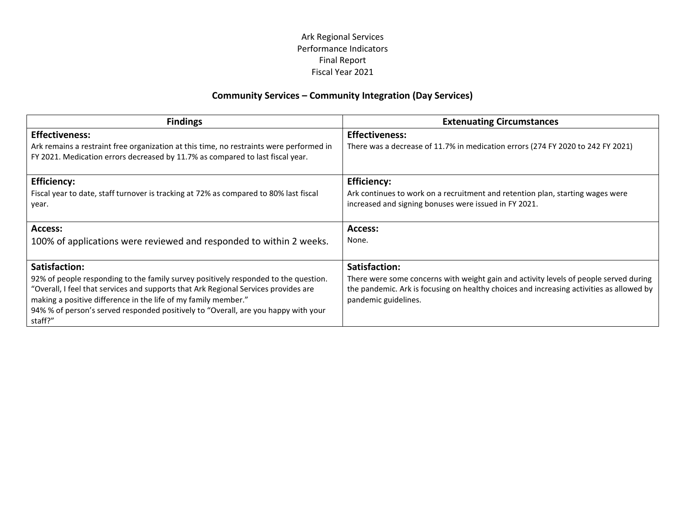### **Community Services – Community Integration (Day Services)**

| <b>Findings</b>                                                                                                                                                           | <b>Extenuating Circumstances</b>                                                                                 |
|---------------------------------------------------------------------------------------------------------------------------------------------------------------------------|------------------------------------------------------------------------------------------------------------------|
| <b>Effectiveness:</b>                                                                                                                                                     | <b>Effectiveness:</b>                                                                                            |
| Ark remains a restraint free organization at this time, no restraints were performed in<br>FY 2021. Medication errors decreased by 11.7% as compared to last fiscal year. | There was a decrease of 11.7% in medication errors (274 FY 2020 to 242 FY 2021)                                  |
| <b>Efficiency:</b>                                                                                                                                                        | <b>Efficiency:</b>                                                                                               |
| Fiscal year to date, staff turnover is tracking at 72% as compared to 80% last fiscal                                                                                     | Ark continues to work on a recruitment and retention plan, starting wages were                                   |
| year.                                                                                                                                                                     | increased and signing bonuses were issued in FY 2021.                                                            |
| Access:                                                                                                                                                                   | Access:                                                                                                          |
| 100% of applications were reviewed and responded to within 2 weeks.                                                                                                       | None.                                                                                                            |
| Satisfaction:                                                                                                                                                             | Satisfaction:                                                                                                    |
| 92% of people responding to the family survey positively responded to the question.                                                                                       | There were some concerns with weight gain and activity levels of people served during                            |
| "Overall, I feel that services and supports that Ark Regional Services provides are                                                                                       |                                                                                                                  |
|                                                                                                                                                                           |                                                                                                                  |
|                                                                                                                                                                           |                                                                                                                  |
| making a positive difference in the life of my family member."<br>94% % of person's served responded positively to "Overall, are you happy with your<br>staff?"           | the pandemic. Ark is focusing on healthy choices and increasing activities as allowed by<br>pandemic guidelines. |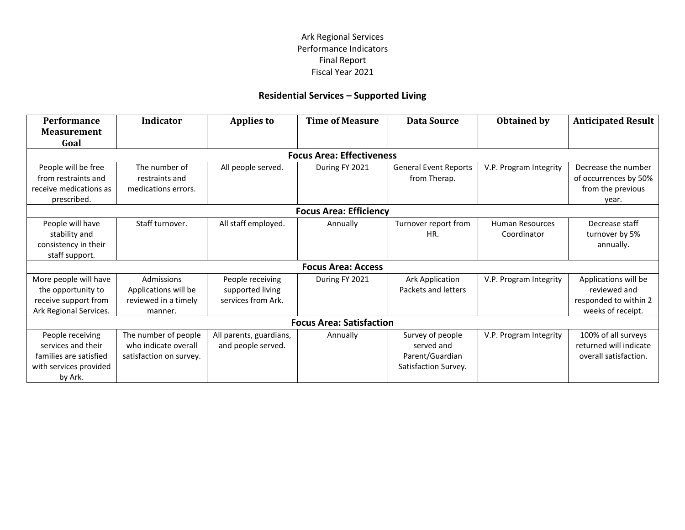# **Residential Services – Supported Living**

| Performance                     | <b>Indicator</b>        | <b>Applies to</b>       | <b>Time of Measure</b>           | <b>Data Source</b>           | <b>Obtained by</b>     | <b>Anticipated Result</b> |
|---------------------------------|-------------------------|-------------------------|----------------------------------|------------------------------|------------------------|---------------------------|
| <b>Measurement</b>              |                         |                         |                                  |                              |                        |                           |
| Goal                            |                         |                         |                                  |                              |                        |                           |
|                                 |                         |                         | <b>Focus Area: Effectiveness</b> |                              |                        |                           |
| People will be free             | The number of           | All people served.      | During FY 2021                   | <b>General Event Reports</b> | V.P. Program Integrity | Decrease the number       |
| from restraints and             | restraints and          |                         |                                  | from Therap.                 |                        | of occurrences by 50%     |
| receive medications as          | medications errors.     |                         |                                  |                              |                        | from the previous         |
| prescribed.                     |                         |                         |                                  |                              |                        | year.                     |
| <b>Focus Area: Efficiency</b>   |                         |                         |                                  |                              |                        |                           |
| People will have                | Staff turnover.         | All staff employed.     | Annually                         | Turnover report from         | <b>Human Resources</b> | Decrease staff            |
| stability and                   |                         |                         |                                  | HR.                          | Coordinator            | turnover by 5%            |
| consistency in their            |                         |                         |                                  |                              |                        | annually.                 |
| staff support.                  |                         |                         |                                  |                              |                        |                           |
| <b>Focus Area: Access</b>       |                         |                         |                                  |                              |                        |                           |
| More people will have           | Admissions              | People receiving        | During FY 2021                   | <b>Ark Application</b>       | V.P. Program Integrity | Applications will be      |
| the opportunity to              | Applications will be    | supported living        |                                  | Packets and letters          |                        | reviewed and              |
| receive support from            | reviewed in a timely    | services from Ark.      |                                  |                              |                        | responded to within 2     |
| Ark Regional Services.          | manner.                 |                         |                                  |                              |                        | weeks of receipt.         |
| <b>Focus Area: Satisfaction</b> |                         |                         |                                  |                              |                        |                           |
| People receiving                | The number of people    | All parents, guardians, | Annually                         | Survey of people             | V.P. Program Integrity | 100% of all surveys       |
| services and their              | who indicate overall    | and people served.      |                                  | served and                   |                        | returned will indicate    |
| families are satisfied          | satisfaction on survey. |                         |                                  | Parent/Guardian              |                        | overall satisfaction.     |
| with services provided          |                         |                         |                                  | Satisfaction Survey.         |                        |                           |
| by Ark.                         |                         |                         |                                  |                              |                        |                           |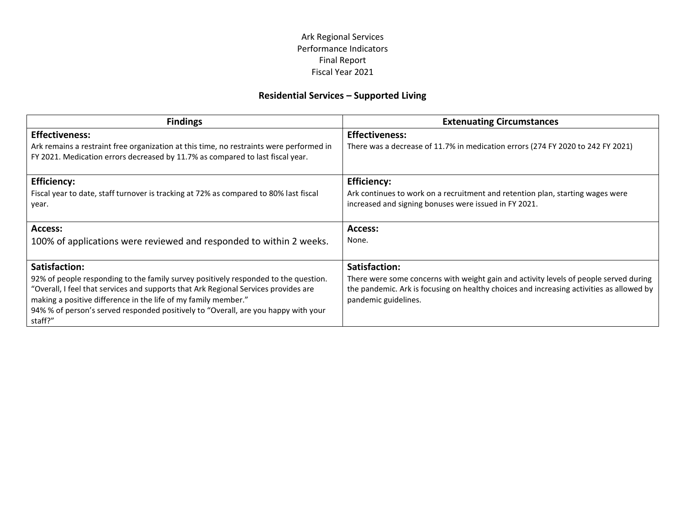# **Residential Services – Supported Living**

| <b>Findings</b>                                                                                                                                                                                                                                                                                                                               | <b>Extenuating Circumstances</b>                                                                                                                                                                          |
|-----------------------------------------------------------------------------------------------------------------------------------------------------------------------------------------------------------------------------------------------------------------------------------------------------------------------------------------------|-----------------------------------------------------------------------------------------------------------------------------------------------------------------------------------------------------------|
| <b>Effectiveness:</b>                                                                                                                                                                                                                                                                                                                         | <b>Effectiveness:</b>                                                                                                                                                                                     |
| Ark remains a restraint free organization at this time, no restraints were performed in<br>FY 2021. Medication errors decreased by 11.7% as compared to last fiscal year.                                                                                                                                                                     | There was a decrease of 11.7% in medication errors (274 FY 2020 to 242 FY 2021)                                                                                                                           |
| <b>Efficiency:</b>                                                                                                                                                                                                                                                                                                                            | <b>Efficiency:</b>                                                                                                                                                                                        |
| Fiscal year to date, staff turnover is tracking at 72% as compared to 80% last fiscal<br>year.                                                                                                                                                                                                                                                | Ark continues to work on a recruitment and retention plan, starting wages were<br>increased and signing bonuses were issued in FY 2021.                                                                   |
| Access:                                                                                                                                                                                                                                                                                                                                       | Access:                                                                                                                                                                                                   |
| 100% of applications were reviewed and responded to within 2 weeks.                                                                                                                                                                                                                                                                           | None.                                                                                                                                                                                                     |
| Satisfaction:                                                                                                                                                                                                                                                                                                                                 | Satisfaction:                                                                                                                                                                                             |
| 92% of people responding to the family survey positively responded to the question.<br>"Overall, I feel that services and supports that Ark Regional Services provides are<br>making a positive difference in the life of my family member."<br>94% % of person's served responded positively to "Overall, are you happy with your<br>staff?" | There were some concerns with weight gain and activity levels of people served during<br>the pandemic. Ark is focusing on healthy choices and increasing activities as allowed by<br>pandemic guidelines. |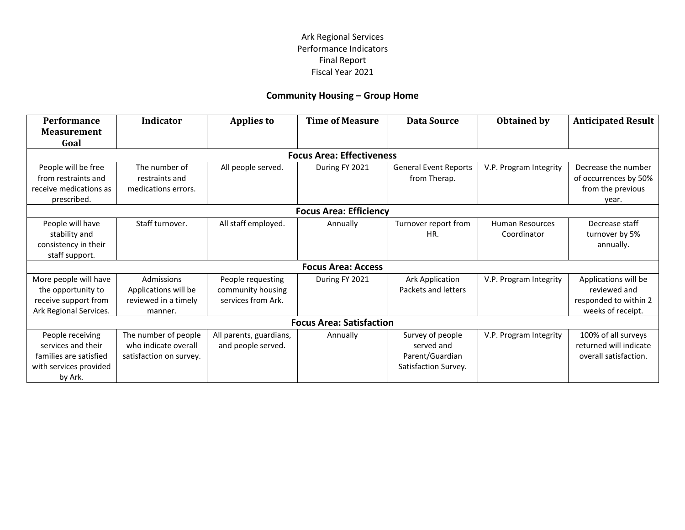# **Community Housing – Group Home**

| <b>Performance</b>              | <b>Indicator</b>        | <b>Applies to</b>       | <b>Time of Measure</b>           | <b>Data Source</b>           | <b>Obtained by</b>     | <b>Anticipated Result</b> |
|---------------------------------|-------------------------|-------------------------|----------------------------------|------------------------------|------------------------|---------------------------|
| <b>Measurement</b>              |                         |                         |                                  |                              |                        |                           |
| Goal                            |                         |                         |                                  |                              |                        |                           |
|                                 |                         |                         | <b>Focus Area: Effectiveness</b> |                              |                        |                           |
| People will be free             | The number of           | All people served.      | During FY 2021                   | <b>General Event Reports</b> | V.P. Program Integrity | Decrease the number       |
| from restraints and             | restraints and          |                         |                                  | from Therap.                 |                        | of occurrences by 50%     |
| receive medications as          | medications errors.     |                         |                                  |                              |                        | from the previous         |
| prescribed.                     |                         |                         |                                  |                              |                        | year.                     |
| <b>Focus Area: Efficiency</b>   |                         |                         |                                  |                              |                        |                           |
| People will have                | Staff turnover.         | All staff employed.     | Annually                         | Turnover report from         | <b>Human Resources</b> | Decrease staff            |
| stability and                   |                         |                         |                                  | HR.                          | Coordinator            | turnover by 5%            |
| consistency in their            |                         |                         |                                  |                              |                        | annually.                 |
| staff support.                  |                         |                         |                                  |                              |                        |                           |
| <b>Focus Area: Access</b>       |                         |                         |                                  |                              |                        |                           |
| More people will have           | Admissions              | People requesting       | During FY 2021                   | <b>Ark Application</b>       | V.P. Program Integrity | Applications will be      |
| the opportunity to              | Applications will be    | community housing       |                                  | Packets and letters          |                        | reviewed and              |
| receive support from            | reviewed in a timely    | services from Ark.      |                                  |                              |                        | responded to within 2     |
| Ark Regional Services.          | manner.                 |                         |                                  |                              |                        | weeks of receipt.         |
| <b>Focus Area: Satisfaction</b> |                         |                         |                                  |                              |                        |                           |
| People receiving                | The number of people    | All parents, guardians, | Annually                         | Survey of people             | V.P. Program Integrity | 100% of all surveys       |
| services and their              | who indicate overall    | and people served.      |                                  | served and                   |                        | returned will indicate    |
| families are satisfied          | satisfaction on survey. |                         |                                  | Parent/Guardian              |                        | overall satisfaction.     |
| with services provided          |                         |                         |                                  | Satisfaction Survey.         |                        |                           |
| by Ark.                         |                         |                         |                                  |                              |                        |                           |